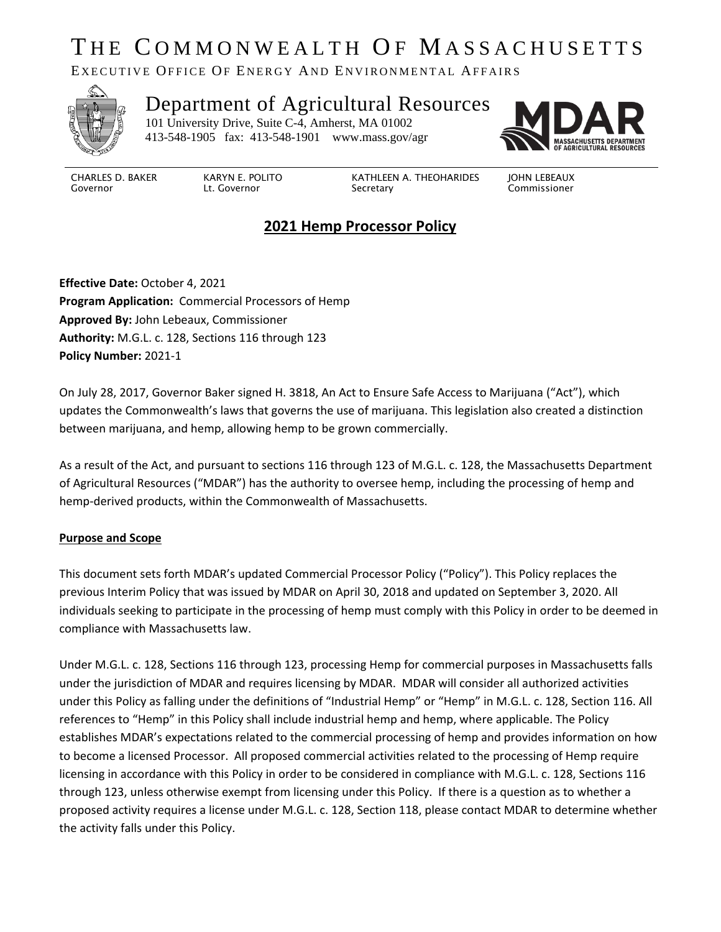# THE COMMONWEALTH OF MASSACHUSETTS

EXECUTIVE OFFICE OF ENERGY AND ENVIRONMENTAL AFFAIRS



#### Department of Agricultural Resources 101 University Drive, Suite C-4, Amherst, MA 01002

413-548-1905 fax: 413-548-1901 www.mass.gov/agr



CHARLES D. BAKER Governor

KARYN E. POLITO Lt. Governor

KATHLEEN A. THEOHARIDES Secretary

JOHN LEBEAUX Commissioner

# **2021 Hemp Processor Policy**

**Effective Date:** October 4, 2021 **Program Application:** Commercial Processors of Hemp **Approved By:** John Lebeaux, Commissioner **Authority:** M.G.L. c. 128, Sections 116 through 123 **Policy Number:** 2021-1

On July 28, 2017, Governor Baker signed H. 3818, An Act to Ensure Safe Access to Marijuana ("Act"), which updates the Commonwealth's laws that governs the use of marijuana. This legislation also created a distinction between marijuana, and hemp, allowing hemp to be grown commercially.

As a result of the Act, and pursuant to sections 116 through 123 of M.G.L. c. 128, the Massachusetts Department of Agricultural Resources ("MDAR") has the authority to oversee hemp, including the processing of hemp and hemp-derived products, within the Commonwealth of Massachusetts.

#### **Purpose and Scope**

This document sets forth MDAR's updated Commercial Processor Policy ("Policy"). This Policy replaces the previous Interim Policy that was issued by MDAR on April 30, 2018 and updated on September 3, 2020. All individuals seeking to participate in the processing of hemp must comply with this Policy in order to be deemed in compliance with Massachusetts law.

Under M.G.L. c. 128, Sections 116 through 123, processing Hemp for commercial purposes in Massachusetts falls under the jurisdiction of MDAR and requires licensing by MDAR. MDAR will consider all authorized activities under this Policy as falling under the definitions of "Industrial Hemp" or "Hemp" in M.G.L. c. 128, Section 116. All references to "Hemp" in this Policy shall include industrial hemp and hemp, where applicable. The Policy establishes MDAR's expectations related to the commercial processing of hemp and provides information on how to become a licensed Processor. All proposed commercial activities related to the processing of Hemp require licensing in accordance with this Policy in order to be considered in compliance with M.G.L. c. 128, Sections 116 through 123, unless otherwise exempt from licensing under this Policy. If there is a question as to whether a proposed activity requires a license under M.G.L. c. 128, Section 118, please contact MDAR to determine whether the activity falls under this Policy.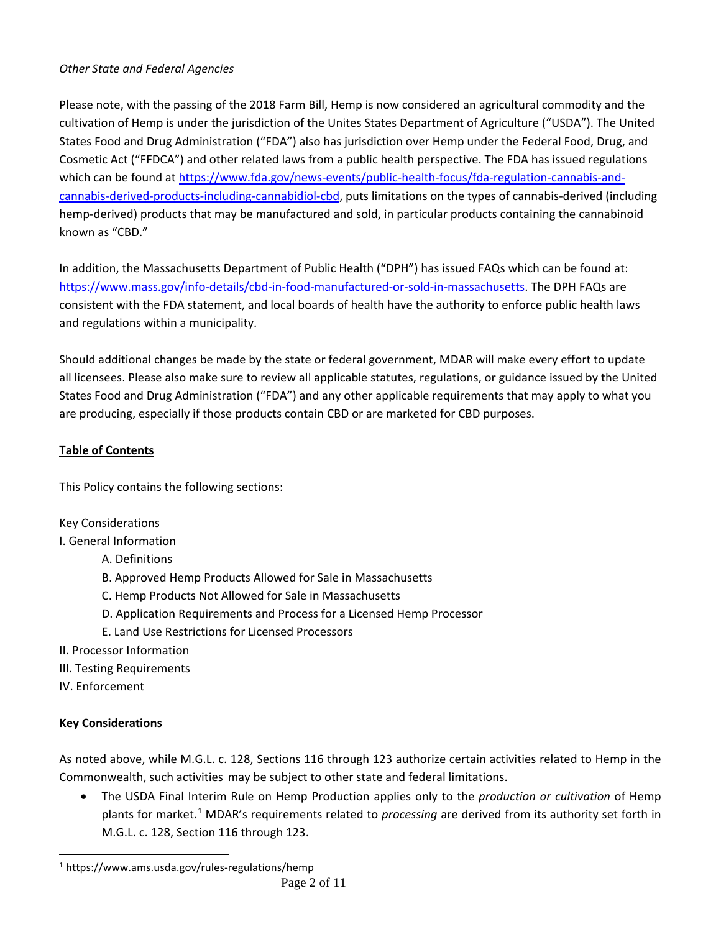#### *Other State and Federal Agencies*

Please note, with the passing of the 2018 Farm Bill, Hemp is now considered an agricultural commodity and the cultivation of Hemp is under the jurisdiction of the Unites States Department of Agriculture ("USDA"). The United States Food and Drug Administration ("FDA") also has jurisdiction over Hemp under the Federal Food, Drug, and Cosmetic Act ("FFDCA") and other related laws from a public health perspective. The FDA has issued regulations which can be found at [https://www.fda.gov/news-events/public-health-focus/fda-regulation-cannabis-and](https://www.fda.gov/news-events/public-health-focus/fda-regulation-cannabis-and-cannabis-derived-products-including-cannabidiol-cbd)[cannabis-derived-products-including-cannabidiol-cbd,](https://www.fda.gov/news-events/public-health-focus/fda-regulation-cannabis-and-cannabis-derived-products-including-cannabidiol-cbd) puts limitations on the types of cannabis-derived (including hemp-derived) products that may be manufactured and sold, in particular products containing the cannabinoid known as "CBD."

In addition, the Massachusetts Department of Public Health ("DPH") has issued FAQs which can be found at: [https://www.mass.gov/info-details/cbd-in-food-manufactured-or-sold-in-massachusetts.](https://www.mass.gov/info-details/cbd-in-food-manufactured-or-sold-in-massachusetts) The DPH FAQs are consistent with the FDA statement, and local boards of health have the authority to enforce public health laws and regulations within a municipality.

Should additional changes be made by the state or federal government, MDAR will make every effort to update all licensees. Please also make sure to review all applicable statutes, regulations, or guidance issued by the United States Food and Drug Administration ("FDA") and any other applicable requirements that may apply to what you are producing, especially if those products contain CBD or are marketed for CBD purposes.

### **Table of Contents**

This Policy contains the following sections:

#### Key Considerations

I. General Information

- A. Definitions
- B. Approved Hemp Products Allowed for Sale in Massachusetts
- C. Hemp Products Not Allowed for Sale in Massachusetts
- D. Application Requirements and Process for a Licensed Hemp Processor
- E. Land Use Restrictions for Licensed Processors
- II. Processor Information
- III. Testing Requirements
- IV. Enforcement

## **Key Considerations**

As noted above, while M.G.L. c. 128, Sections 116 through 123 authorize certain activities related to Hemp in the Commonwealth, such activities may be subject to other state and federal limitations.

• The USDA Final Interim Rule on Hemp Production applies only to the *production or cultivation* of Hemp plants for market.[1](#page-1-0) MDAR's requirements related to *processing* are derived from its authority set forth in M.G.L. c. 128, Section 116 through 123.

<span id="page-1-0"></span><sup>1</sup> https://www.ams.usda.gov/rules-regulations/hemp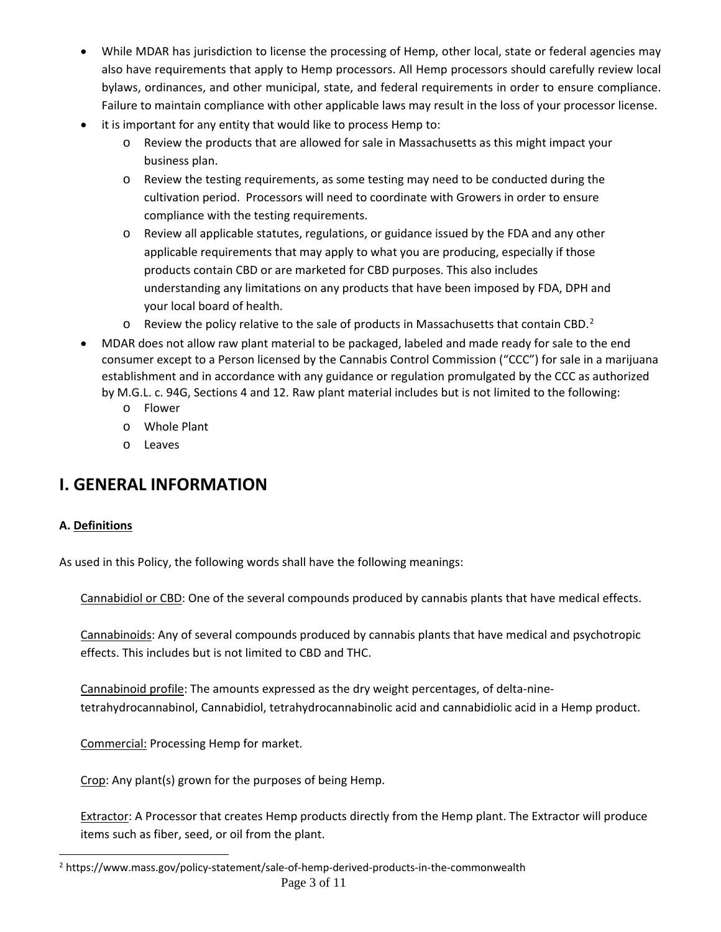- While MDAR has jurisdiction to license the processing of Hemp, other local, state or federal agencies may also have requirements that apply to Hemp processors. All Hemp processors should carefully review local bylaws, ordinances, and other municipal, state, and federal requirements in order to ensure compliance. Failure to maintain compliance with other applicable laws may result in the loss of your processor license.
- it is important for any entity that would like to process Hemp to:
	- o Review the products that are allowed for sale in Massachusetts as this might impact your business plan.
	- o Review the testing requirements, as some testing may need to be conducted during the cultivation period. Processors will need to coordinate with Growers in order to ensure compliance with the testing requirements.
	- o Review all applicable statutes, regulations, or guidance issued by the FDA and any other applicable requirements that may apply to what you are producing, especially if those products contain CBD or are marketed for CBD purposes. This also includes understanding any limitations on any products that have been imposed by FDA, DPH and your local board of health.
	- $\circ$  Review the policy relative to the sale of products in Massachusetts that contain CBD.<sup>[2](#page-2-0)</sup>
- MDAR does not allow raw plant material to be packaged, labeled and made ready for sale to the end consumer except to a Person licensed by the Cannabis Control Commission ("CCC") for sale in a marijuana establishment and in accordance with any guidance or regulation promulgated by the CCC as authorized by M.G.L. c. 94G, Sections 4 and 12. Raw plant material includes but is not limited to the following:
	- o Flower
	- o Whole Plant
	- o Leaves

# **I. GENERAL INFORMATION**

#### **A. Definitions**

As used in this Policy, the following words shall have the following meanings:

Cannabidiol or CBD: One of the several compounds produced by cannabis plants that have medical effects.

Cannabinoids: Any of several compounds produced by cannabis plants that have medical and psychotropic effects. This includes but is not limited to CBD and THC.

Cannabinoid profile: The amounts expressed as the dry weight percentages, of delta-ninetetrahydrocannabinol, Cannabidiol, tetrahydrocannabinolic acid and cannabidiolic acid in a Hemp product.

Commercial: Processing Hemp for market.

Crop: Any plant(s) grown for the purposes of being Hemp.

Extractor: A Processor that creates Hemp products directly from the Hemp plant. The Extractor will produce items such as fiber, seed, or oil from the plant.

<span id="page-2-0"></span>Page 3 of 11 <sup>2</sup> https://www.mass.gov/policy-statement/sale-of-hemp-derived-products-in-the-commonwealth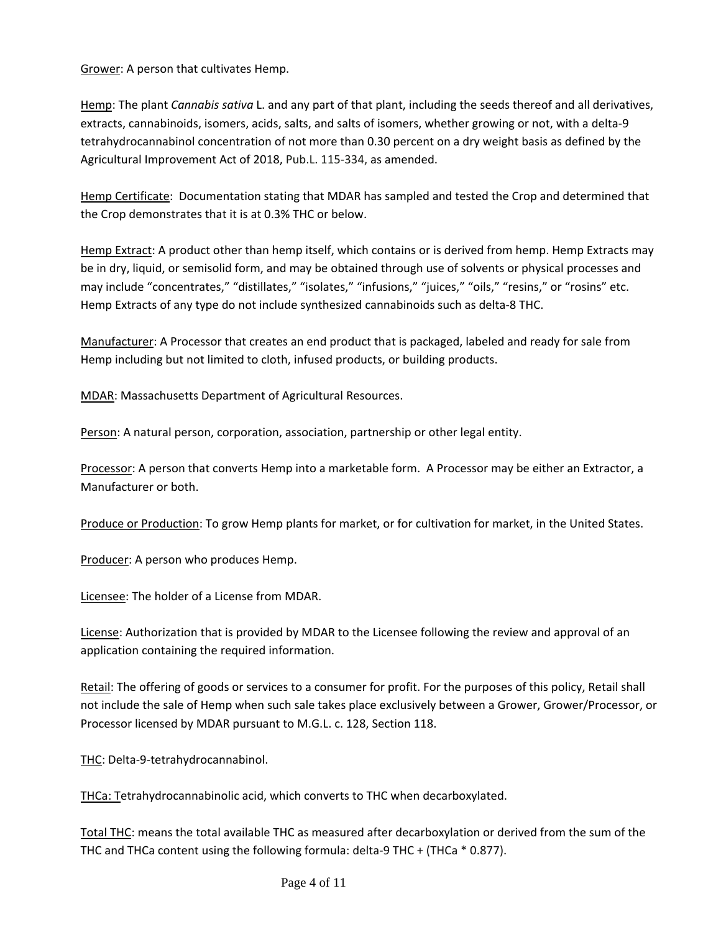Grower: A person that cultivates Hemp.

Hemp: The plant *Cannabis sativa* L. and any part of that plant, including the seeds thereof and all derivatives, extracts, cannabinoids, isomers, acids, salts, and salts of isomers, whether growing or not, with a delta-9 tetrahydrocannabinol concentration of not more than 0.30 percent on a dry weight basis as defined by the Agricultural Improvement Act of 2018, Pub.L. 115-334, as amended.

Hemp Certificate: Documentation stating that MDAR has sampled and tested the Crop and determined that the Crop demonstrates that it is at 0.3% THC or below.

Hemp Extract: A product other than hemp itself, which contains or is derived from hemp. Hemp Extracts may be in dry, liquid, or semisolid form, and may be obtained through use of solvents or physical processes and may include "concentrates," "distillates," "isolates," "infusions," "juices," "oils," "resins," or "rosins" etc. Hemp Extracts of any type do not include synthesized cannabinoids such as delta-8 THC.

Manufacturer: A Processor that creates an end product that is packaged, labeled and ready for sale from Hemp including but not limited to cloth, infused products, or building products.

MDAR: Massachusetts Department of Agricultural Resources.

Person: A natural person, corporation, association, partnership or other legal entity.

Processor: A person that converts Hemp into a marketable form. A Processor may be either an Extractor, a Manufacturer or both.

Produce or Production: To grow Hemp plants for market, or for cultivation for market, in the United States.

Producer: A person who produces Hemp.

Licensee: The holder of a License from MDAR.

License: Authorization that is provided by MDAR to the Licensee following the review and approval of an application containing the required information.

Retail: The offering of goods or services to a consumer for profit. For the purposes of this policy, Retail shall not include the sale of Hemp when such sale takes place exclusively between a Grower, Grower/Processor, or Processor licensed by MDAR pursuant to M.G.L. c. 128, Section 118.

THC: Delta-9-tetrahydrocannabinol.

THCa: Tetrahydrocannabinolic acid, which converts to THC when decarboxylated.

Total THC: means the total available THC as measured after decarboxylation or derived from the sum of the THC and THCa content using the following formula: delta-9 THC + (THCa \* 0.877).

Page 4 of 11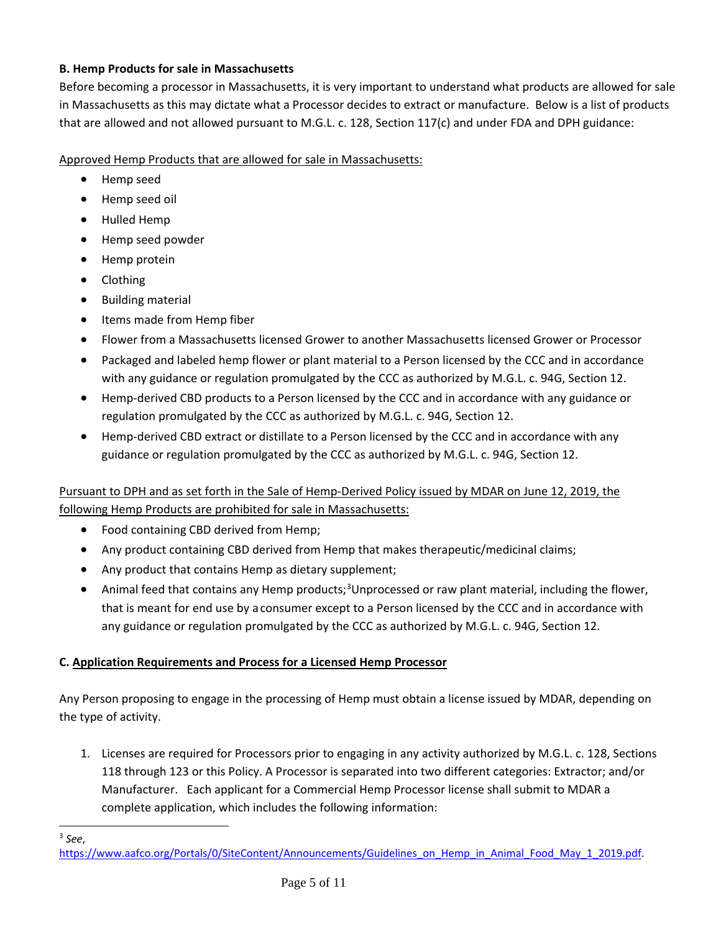#### **B. Hemp Products for sale in Massachusetts**

Before becoming a processor in Massachusetts, it is very important to understand what products are allowed for sale in Massachusetts as this may dictate what a Processor decides to extract or manufacture. Below is a list of products that are allowed and not allowed pursuant to M.G.L. c. 128, Section 117(c) and under FDA and DPH guidance:

Approved Hemp Products that are allowed for sale in Massachusetts:

- Hemp seed
- Hemp seed oil
- Hulled Hemp
- Hemp seed powder
- Hemp protein
- Clothing
- Building material
- Items made from Hemp fiber
- Flower from a Massachusetts licensed Grower to another Massachusetts licensed Grower or Processor
- Packaged and labeled hemp flower or plant material to a Person licensed by the CCC and in accordance with any guidance or regulation promulgated by the CCC as authorized by M.G.L. c. 94G, Section 12.
- Hemp-derived CBD products to a Person licensed by the CCC and in accordance with any guidance or regulation promulgated by the CCC as authorized by M.G.L. c. 94G, Section 12.
- Hemp-derived CBD extract or distillate to a Person licensed by the CCC and in accordance with any guidance or regulation promulgated by the CCC as authorized by M.G.L. c. 94G, Section 12.

#### Pursuant to DPH and as set forth in the Sale of Hemp-Derived Policy issued by MDAR on June 12, 2019, the following Hemp Products are prohibited for sale in Massachusetts:

- Food containing CBD derived from Hemp;
- Any product containing CBD derived from Hemp that makes therapeutic/medicinal claims;
- Any product that contains Hemp as dietary supplement;
- Animal feed that contains any Hemp products;<sup>[3](#page-4-0)</sup>Unprocessed or raw plant material, including the flower, that is meant for end use by a consumer except to a Person licensed by the CCC and in accordance with any guidance or regulation promulgated by the CCC as authorized by M.G.L. c. 94G, Section 12.

#### **C. Application Requirements and Process for a Licensed Hemp Processor**

Any Person proposing to engage in the processing of Hemp must obtain a license issued by MDAR, depending on the type of activity.

1. Licenses are required for Processors prior to engaging in any activity authorized by M.G.L. c. 128, Sections 118 through 123 or this Policy. A Processor is separated into two different categories: Extractor; and/or Manufacturer. Each applicant for a Commercial Hemp Processor license shall submit to MDAR a complete application, which includes the following information:

<span id="page-4-0"></span><sup>3</sup> *See*, [https://www.aafco.org/Portals/0/SiteContent/Announcements/Guidelines\\_on\\_Hemp\\_in\\_Animal\\_Food\\_May\\_1\\_2019.pdf.](https://www.aafco.org/Portals/0/SiteContent/Announcements/Guidelines_on_Hemp_in_Animal_Food_May_1_2019.pdf)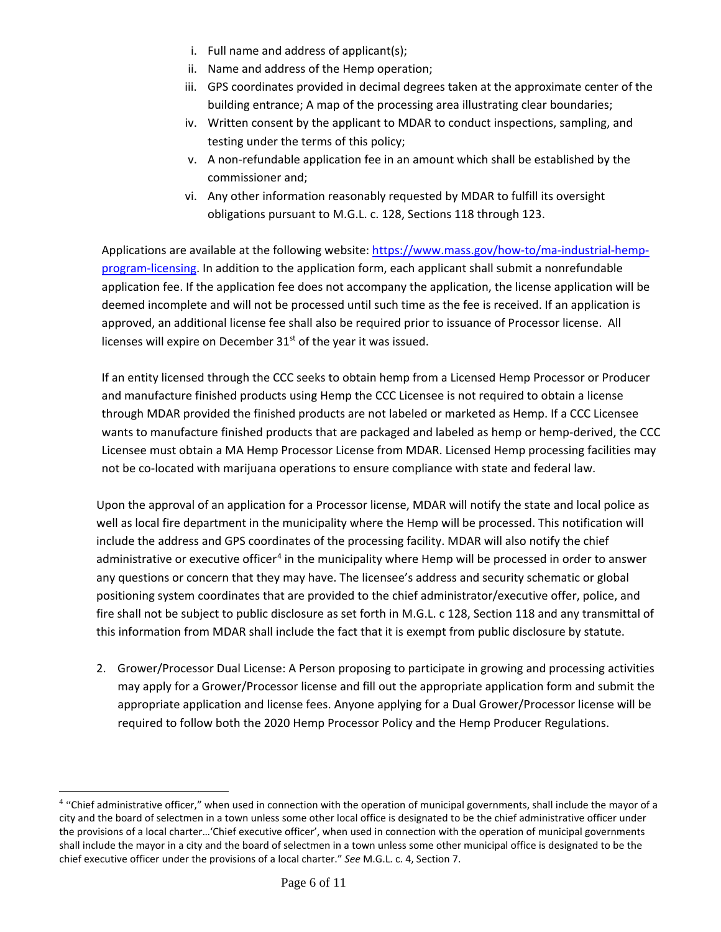- i. Full name and address of applicant(s);
- ii. Name and address of the Hemp operation;
- iii. GPS coordinates provided in decimal degrees taken at the approximate center of the building entrance; A map of the processing area illustrating clear boundaries;
- iv. Written consent by the applicant to MDAR to conduct inspections, sampling, and testing under the terms of this policy;
- v. A non-refundable application fee in an amount which shall be established by the commissioner and;
- vi. Any other information reasonably requested by MDAR to fulfill its oversight obligations pursuant to M.G.L. c. 128, Sections 118 through 123.

Applications are available at the following website: [https://www.mass.gov/how-to/ma-industrial-hemp](https://www.mass.gov/how-to/ma-industrial-hemp-program-licensing)[program-licensing.](https://www.mass.gov/how-to/ma-industrial-hemp-program-licensing) In addition to the application form, each applicant shall submit a nonrefundable application fee. If the application fee does not accompany the application, the license application will be deemed incomplete and will not be processed until such time as the fee is received. If an application is approved, an additional license fee shall also be required prior to issuance of Processor license. All licenses will expire on December  $31<sup>st</sup>$  of the year it was issued.

If an entity licensed through the CCC seeks to obtain hemp from a Licensed Hemp Processor or Producer and manufacture finished products using Hemp the CCC Licensee is not required to obtain a license through MDAR provided the finished products are not labeled or marketed as Hemp. If a CCC Licensee wants to manufacture finished products that are packaged and labeled as hemp or hemp-derived, the CCC Licensee must obtain a MA Hemp Processor License from MDAR. Licensed Hemp processing facilities may not be co-located with marijuana operations to ensure compliance with state and federal law.

Upon the approval of an application for a Processor license, MDAR will notify the state and local police as well as local fire department in the municipality where the Hemp will be processed. This notification will include the address and GPS coordinates of the processing facility. MDAR will also notify the chief administrative or executive officer<sup>[4](#page-5-0)</sup> in the municipality where Hemp will be processed in order to answer any questions or concern that they may have. The licensee's address and security schematic or global positioning system coordinates that are provided to the chief administrator/executive offer, police, and fire shall not be subject to public disclosure as set forth in M.G.L. c 128, Section 118 and any transmittal of this information from MDAR shall include the fact that it is exempt from public disclosure by statute.

2. Grower/Processor Dual License: A Person proposing to participate in growing and processing activities may apply for a Grower/Processor license and fill out the appropriate application form and submit the appropriate application and license fees. Anyone applying for a Dual Grower/Processor license will be required to follow both the 2020 Hemp Processor Policy and the Hemp Producer Regulations.

<span id="page-5-0"></span><sup>4</sup> "Chief administrative officer," when used in connection with the operation of municipal governments, shall include the mayor of a city and the board of selectmen in a town unless some other local office is designated to be the chief administrative officer under the provisions of a local charter…'Chief executive officer', when used in connection with the operation of municipal governments shall include the mayor in a city and the board of selectmen in a town unless some other municipal office is designated to be the chief executive officer under the provisions of a local charter." *See* M.G.L. c. 4, Section 7.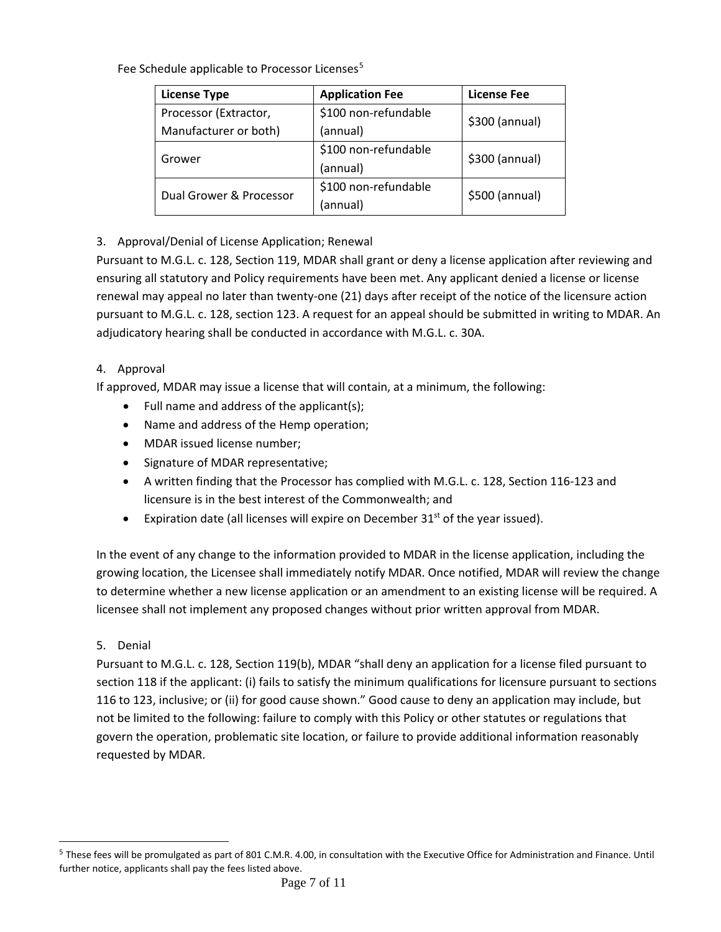Fee Schedule applicable to Processor Licenses<sup>[5](#page-6-0)</sup>

| <b>License Type</b>     | <b>Application Fee</b> | License Fee    |
|-------------------------|------------------------|----------------|
| Processor (Extractor,   | \$100 non-refundable   | \$300 (annual) |
| Manufacturer or both)   | (annual)               |                |
| Grower                  | \$100 non-refundable   | \$300 (annual) |
|                         | (annual)               |                |
| Dual Grower & Processor | \$100 non-refundable   | \$500 (annual) |
|                         | (annual)               |                |

## 3. Approval/Denial of License Application; Renewal

Pursuant to M.G.L. c. 128, Section 119, MDAR shall grant or deny a license application after reviewing and ensuring all statutory and Policy requirements have been met. Any applicant denied a license or license renewal may appeal no later than twenty-one (21) days after receipt of the notice of the licensure action pursuant to M.G.L. c. 128, section 123. A request for an appeal should be submitted in writing to MDAR. An adjudicatory hearing shall be conducted in accordance with M.G.L. c. 30A.

#### 4. Approval

If approved, MDAR may issue a license that will contain, at a minimum, the following:

- Full name and address of the applicant(s);
- Name and address of the Hemp operation;
- MDAR issued license number;
- Signature of MDAR representative;
- A written finding that the Processor has complied with M.G.L. c. 128, Section 116-123 and licensure is in the best interest of the Commonwealth; and
- Expiration date (all licenses will expire on December  $31<sup>st</sup>$  of the year issued).

In the event of any change to the information provided to MDAR in the license application, including the growing location, the Licensee shall immediately notify MDAR. Once notified, MDAR will review the change to determine whether a new license application or an amendment to an existing license will be required. A licensee shall not implement any proposed changes without prior written approval from MDAR.

#### 5. Denial

Pursuant to M.G.L. c. 128, Section 119(b), MDAR "shall deny an application for a license filed pursuant to section 118 if the applicant: (i) fails to satisfy the minimum qualifications for licensure pursuant to sections 116 to 123, inclusive; or (ii) for good cause shown." Good cause to deny an application may include, but not be limited to the following: failure to comply with this Policy or other statutes or regulations that govern the operation, problematic site location, or failure to provide additional information reasonably requested by MDAR.

<span id="page-6-0"></span><sup>&</sup>lt;sup>5</sup> These fees will be promulgated as part of 801 C.M.R. 4.00, in consultation with the Executive Office for Administration and Finance. Until further notice, applicants shall pay the fees listed above.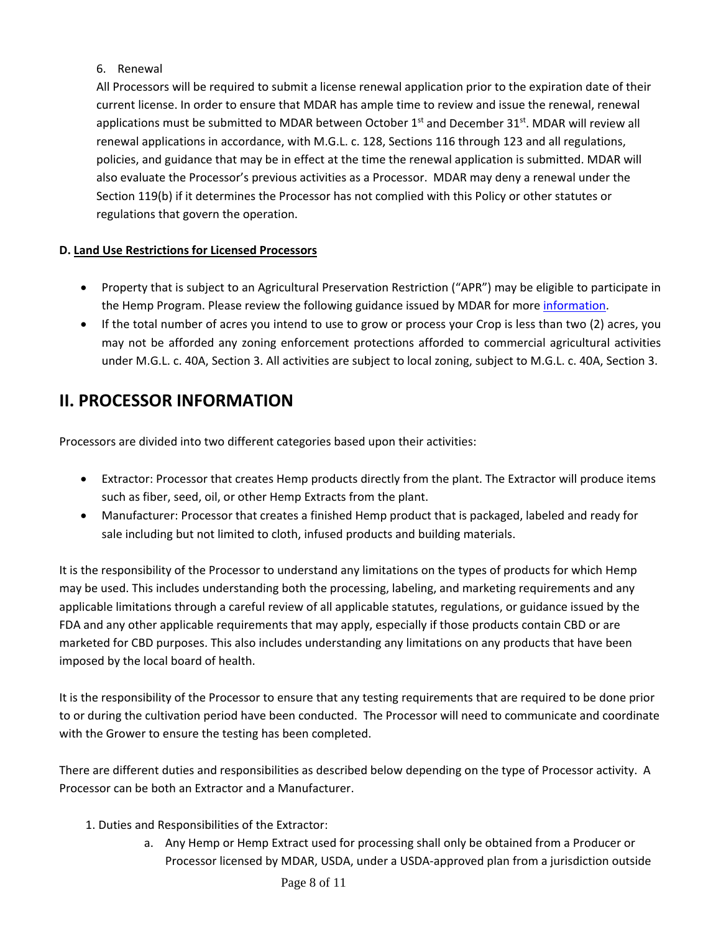#### 6. Renewal

All Processors will be required to submit a license renewal application prior to the expiration date of their current license. In order to ensure that MDAR has ample time to review and issue the renewal, renewal applications must be submitted to MDAR between October  $1<sup>st</sup>$  and December 31 $<sup>st</sup>$ . MDAR will review all</sup> renewal applications in accordance, with M.G.L. c. 128, Sections 116 through 123 and all regulations, policies, and guidance that may be in effect at the time the renewal application is submitted. MDAR will also evaluate the Processor's previous activities as a Processor. MDAR may deny a renewal under the Section 119(b) if it determines the Processor has not complied with this Policy or other statutes or regulations that govern the operation.

#### **D. Land Use Restrictions for Licensed Processors**

- Property that is subject to an Agricultural Preservation Restriction ("APR") may be eligible to participate in the Hemp Program. Please review the following guidance issued by MDAR for mor[e information.](https://www.mass.gov/service-details/hemp-and-marijuana-production-on-apr-and-farm-viability-protected-lands)
- If the total number of acres you intend to use to grow or process your Crop is less than two (2) acres, you may not be afforded any zoning enforcement protections afforded to commercial agricultural activities under M.G.L. c. 40A, Section 3. All activities are subject to local zoning, subject to M.G.L. c. 40A, Section 3.

# **II. PROCESSOR INFORMATION**

Processors are divided into two different categories based upon their activities:

- Extractor: Processor that creates Hemp products directly from the plant. The Extractor will produce items such as fiber, seed, oil, or other Hemp Extracts from the plant.
- Manufacturer: Processor that creates a finished Hemp product that is packaged, labeled and ready for sale including but not limited to cloth, infused products and building materials.

It is the responsibility of the Processor to understand any limitations on the types of products for which Hemp may be used. This includes understanding both the processing, labeling, and marketing requirements and any applicable limitations through a careful review of all applicable statutes, regulations, or guidance issued by the FDA and any other applicable requirements that may apply, especially if those products contain CBD or are marketed for CBD purposes. This also includes understanding any limitations on any products that have been imposed by the local board of health.

It is the responsibility of the Processor to ensure that any testing requirements that are required to be done prior to or during the cultivation period have been conducted. The Processor will need to communicate and coordinate with the Grower to ensure the testing has been completed.

There are different duties and responsibilities as described below depending on the type of Processor activity. A Processor can be both an Extractor and a Manufacturer.

- 1. Duties and Responsibilities of the Extractor:
	- a. Any Hemp or Hemp Extract used for processing shall only be obtained from a Producer or Processor licensed by MDAR, USDA, under a USDA-approved plan from a jurisdiction outside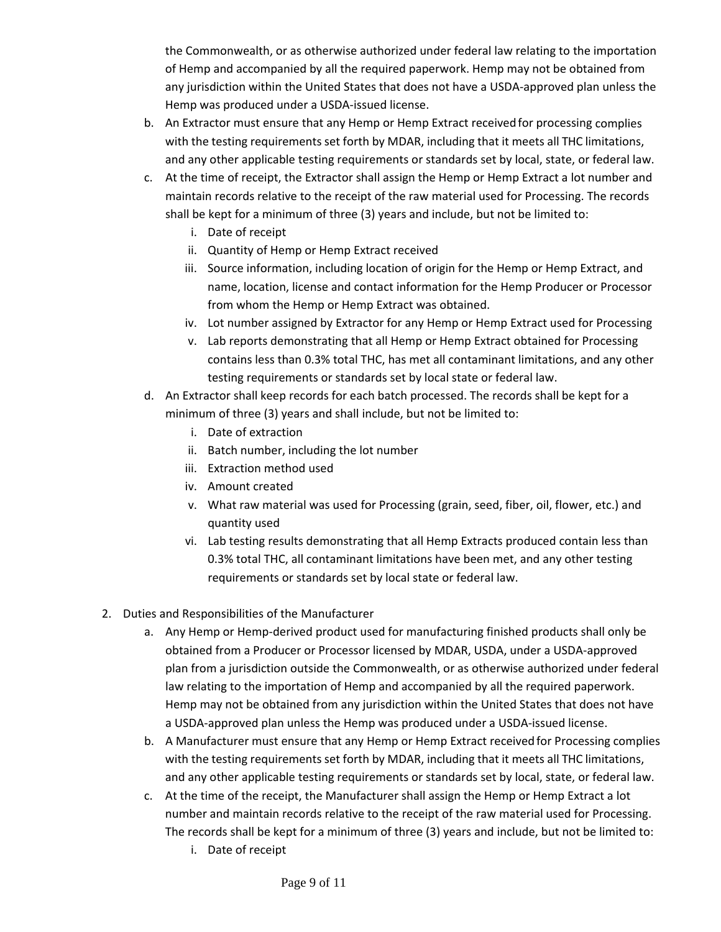the Commonwealth, or as otherwise authorized under federal law relating to the importation of Hemp and accompanied by all the required paperwork. Hemp may not be obtained from any jurisdiction within the United States that does not have a USDA-approved plan unless the Hemp was produced under a USDA-issued license.

- b. An Extractor must ensure that any Hemp or Hemp Extract received for processing complies with the testing requirements set forth by MDAR, including that it meets all THC limitations, and any other applicable testing requirements or standards set by local, state, or federal law.
- c. At the time of receipt, the Extractor shall assign the Hemp or Hemp Extract a lot number and maintain records relative to the receipt of the raw material used for Processing. The records shall be kept for a minimum of three (3) years and include, but not be limited to:
	- i. Date of receipt
	- ii. Quantity of Hemp or Hemp Extract received
	- iii. Source information, including location of origin for the Hemp or Hemp Extract, and name, location, license and contact information for the Hemp Producer or Processor from whom the Hemp or Hemp Extract was obtained.
	- iv. Lot number assigned by Extractor for any Hemp or Hemp Extract used for Processing
	- v. Lab reports demonstrating that all Hemp or Hemp Extract obtained for Processing contains less than 0.3% total THC, has met all contaminant limitations, and any other testing requirements or standards set by local state or federal law.
- d. An Extractor shall keep records for each batch processed. The records shall be kept for a minimum of three (3) years and shall include, but not be limited to:
	- i. Date of extraction
	- ii. Batch number, including the lot number
	- iii. Extraction method used
	- iv. Amount created
	- v. What raw material was used for Processing (grain, seed, fiber, oil, flower, etc.) and quantity used
	- vi. Lab testing results demonstrating that all Hemp Extracts produced contain less than 0.3% total THC, all contaminant limitations have been met, and any other testing requirements or standards set by local state or federal law.
- 2. Duties and Responsibilities of the Manufacturer
	- a. Any Hemp or Hemp-derived product used for manufacturing finished products shall only be obtained from a Producer or Processor licensed by MDAR, USDA, under a USDA-approved plan from a jurisdiction outside the Commonwealth, or as otherwise authorized under federal law relating to the importation of Hemp and accompanied by all the required paperwork. Hemp may not be obtained from any jurisdiction within the United States that does not have a USDA-approved plan unless the Hemp was produced under a USDA-issued license.
	- b. A Manufacturer must ensure that any Hemp or Hemp Extract received for Processing complies with the testing requirements set forth by MDAR, including that it meets all THC limitations, and any other applicable testing requirements or standards set by local, state, or federal law.
	- c. At the time of the receipt, the Manufacturer shall assign the Hemp or Hemp Extract a lot number and maintain records relative to the receipt of the raw material used for Processing. The records shall be kept for a minimum of three (3) years and include, but not be limited to:
		- i. Date of receipt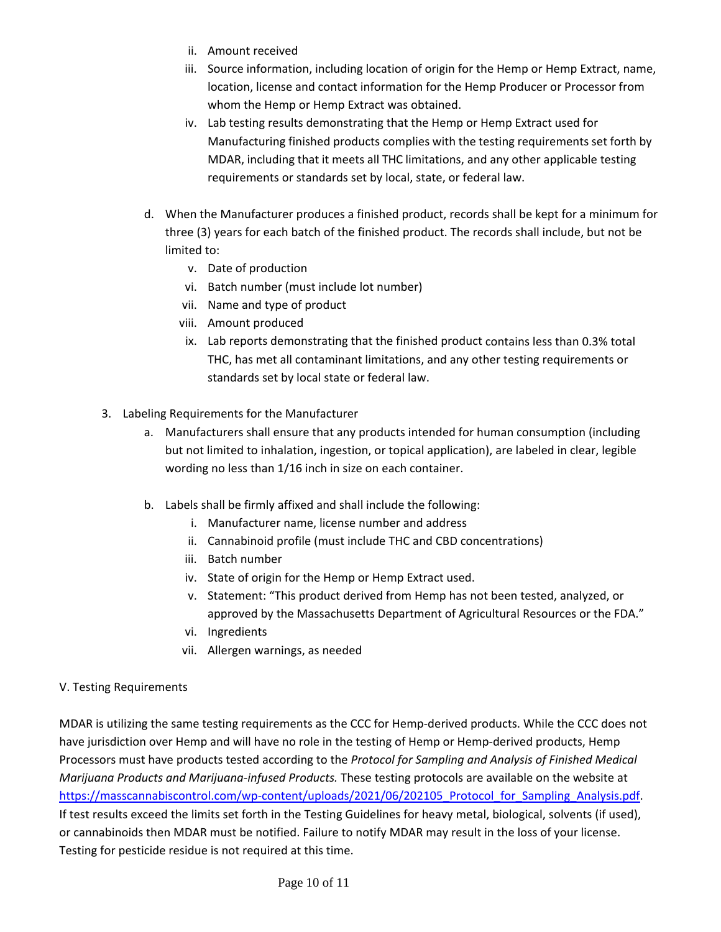- ii. Amount received
- iii. Source information, including location of origin for the Hemp or Hemp Extract, name, location, license and contact information for the Hemp Producer or Processor from whom the Hemp or Hemp Extract was obtained.
- iv. Lab testing results demonstrating that the Hemp or Hemp Extract used for Manufacturing finished products complies with the testing requirements set forth by MDAR, including that it meets all THC limitations, and any other applicable testing requirements or standards set by local, state, or federal law.
- d. When the Manufacturer produces a finished product, records shall be kept for a minimum for three (3) years for each batch of the finished product. The records shall include, but not be limited to:
	- v. Date of production
	- vi. Batch number (must include lot number)
	- vii. Name and type of product
	- viii. Amount produced
	- ix. Lab reports demonstrating that the finished product contains less than 0.3% total THC, has met all contaminant limitations, and any other testing requirements or standards set by local state or federal law.
- 3. Labeling Requirements for the Manufacturer
	- a. Manufacturers shall ensure that any products intended for human consumption (including but not limited to inhalation, ingestion, or topical application), are labeled in clear, legible wording no less than 1/16 inch in size on each container.
	- b. Labels shall be firmly affixed and shall include the following:
		- i. Manufacturer name, license number and address
		- ii. Cannabinoid profile (must include THC and CBD concentrations)
		- iii. Batch number
		- iv. State of origin for the Hemp or Hemp Extract used.
		- v. Statement: "This product derived from Hemp has not been tested, analyzed, or approved by the Massachusetts Department of Agricultural Resources or the FDA."
		- vi. Ingredients
		- vii. Allergen warnings, as needed

#### V. Testing Requirements

MDAR is utilizing the same testing requirements as the CCC for Hemp-derived products. While the CCC does not have jurisdiction over Hemp and will have no role in the testing of Hemp or Hemp-derived products, Hemp Processors must have products tested according to the *Protocol for Sampling and Analysis of Finished Medical Marijuana Products and Marijuana-infused Products.* These testing protocols are available on the website at [https://masscannabiscontrol.com/wp-content/uploads/2021/06/202105\\_Protocol\\_for\\_Sampling\\_Analysis.pdf.](https://masscannabiscontrol.com/document/protocol-for-the-sampling-and-analysis-of-finished-marijuana-products-and-marijuana-products-for-marijuana-establishments-medical-marijuana-treatment-centers-and-colocated-marijuana-operations-imp/) If test results exceed the limits set forth in the Testing Guidelines for heavy metal, biological, solvents (if used), or cannabinoids then MDAR must be notified. Failure to notify MDAR may result in the loss of your license. Testing for pesticide residue is not required at this time.